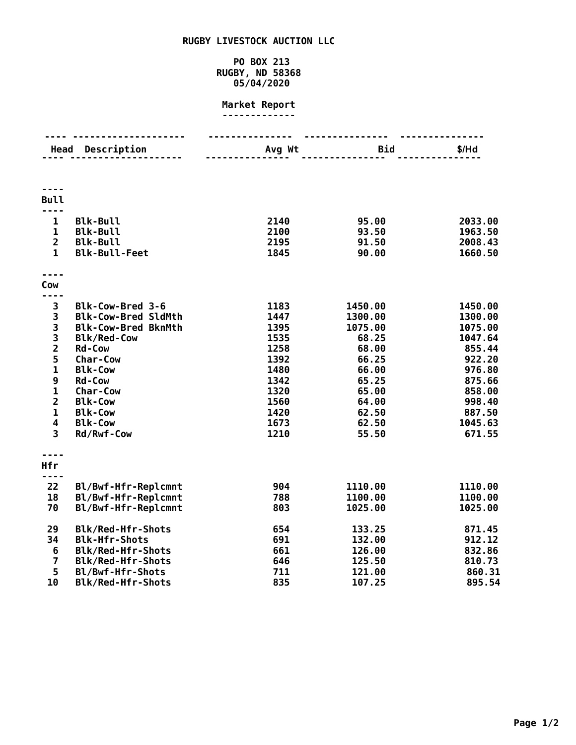## **RUGBY LIVESTOCK AUCTION LLC**

## **PO BOX 213 RUGBY, ND 58368 05/04/2020**

## **Market Report -------------**

|                                                 | <b>Head Description</b>    | Avg Wt | Bid     | $$/$ Hd |
|-------------------------------------------------|----------------------------|--------|---------|---------|
|                                                 |                            |        |         |         |
|                                                 |                            |        |         |         |
| <b>Bull</b>                                     |                            |        |         |         |
|                                                 |                            |        |         |         |
| $\mathbf{1}$                                    | <b>Blk-Bull</b>            | 2140   | 95.00   | 2033.00 |
| $\mathbf{1}$                                    | <b>Blk-Bull</b>            | 2100   | 93.50   | 1963.50 |
| $\overline{2}$                                  | <b>Blk-Bull</b>            | 2195   | 91.50   | 2008.43 |
| $\mathbf{1}$                                    | <b>Blk-Bull-Feet</b>       | 1845   | 90.00   | 1660.50 |
|                                                 |                            |        |         |         |
| Cow                                             |                            |        |         |         |
| ----                                            |                            |        |         |         |
| 3                                               | Blk-Cow-Bred 3-6           | 1183   | 1450.00 | 1450.00 |
| 3                                               | <b>Blk-Cow-Bred SldMth</b> | 1447   | 1300.00 | 1300.00 |
|                                                 | <b>Blk-Cow-Bred BknMth</b> | 1395   | 1075.00 | 1075.00 |
| $\begin{array}{c} 3 \\ 3 \\ 2 \\ 5 \end{array}$ | <b>Blk/Red-Cow</b>         | 1535   | 68.25   | 1047.64 |
|                                                 | <b>Rd-Cow</b>              | 1258   | 68.00   | 855.44  |
|                                                 | <b>Char-Cow</b>            | 1392   | 66.25   | 922.20  |
| $\mathbf{1}$                                    | <b>Blk-Cow</b>             | 1480   | 66.00   | 976.80  |
| 9                                               | <b>Rd-Cow</b>              | 1342   | 65.25   | 875.66  |
| $\mathbf{1}$                                    | <b>Char-Cow</b>            | 1320   | 65.00   | 858.00  |
| $\overline{\mathbf{2}}$                         | <b>Blk-Cow</b>             | 1560   | 64.00   | 998.40  |
| $\mathbf{1}$                                    | <b>Blk-Cow</b>             | 1420   | 62.50   | 887.50  |
| 4                                               | <b>Blk-Cow</b>             | 1673   | 62.50   | 1045.63 |
| 3                                               | Rd/Rwf-Cow                 | 1210   | 55.50   | 671.55  |
|                                                 |                            |        |         |         |
| Hfr                                             |                            |        |         |         |
| 22                                              | Bl/Bwf-Hfr-Replcmnt        | 904    | 1110.00 | 1110.00 |
| 18                                              | Bl/Bwf-Hfr-Replcmnt        | 788    | 1100.00 | 1100.00 |
| 70                                              | Bl/Bwf-Hfr-Replcmnt        | 803    | 1025.00 | 1025.00 |
| 29                                              | <b>Blk/Red-Hfr-Shots</b>   | 654    | 133.25  | 871.45  |
| 34                                              | <b>Blk-Hfr-Shots</b>       | 691    | 132.00  | 912.12  |
| 6                                               | Blk/Red-Hfr-Shots          | 661    | 126.00  | 832.86  |
| $\overline{\mathbf{z}}$                         | Blk/Red-Hfr-Shots          | 646    | 125.50  | 810.73  |
| 5                                               | Bl/Bwf-Hfr-Shots           | 711    | 121.00  | 860.31  |
| 10                                              | Blk/Red-Hfr-Shots          | 835    | 107.25  | 895.54  |